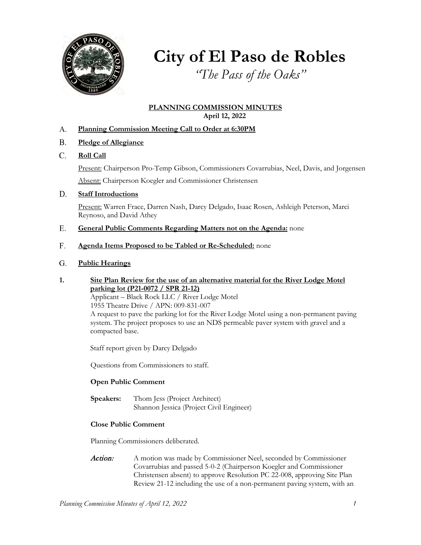

**City of El Paso de Robles**

*"The Pass of the Oaks"*

## **PLANNING COMMISSION MINUTES April 12, 2022**

- **Planning Commission Meeting Call to Order at 6:30PM** A.
- **Pledge of Allegiance** B.
- **Roll Call** C.

Present: Chairperson Pro-Temp Gibson, Commissioners Covarrubias, Neel, Davis, and Jorgensen

Absent: Chairperson Koegler and Commissioner Christensen

#### **Staff Introductions** D.

Present: Warren Frace, Darren Nash, Darcy Delgado, Isaac Rosen, Ashleigh Peterson, Marci Reynoso, and David Athey

- **General Public Comments Regarding Matters not on the Agenda:** none E.
- **Agenda Items Proposed to be Tabled or Re-Scheduled:** none F.
- **Public Hearings**  G.
- **1. Site Plan Review for the use of an alternative material for the River Lodge Motel parking lot (P21-0072 / SPR 21-12)** Applicant – Black Rock LLC / River Lodge Motel 1955 Theatre Drive / APN: 009-831-007

A request to pave the parking lot for the River Lodge Motel using a non-permanent paving system. The project proposes to use an NDS permeable paver system with gravel and a compacted base.

Staff report given by Darcy Delgado

Questions from Commissioners to staff.

## **Open Public Comment**

**Speakers:** Thom Jess (Project Architect) Shannon Jessica (Project Civil Engineer)

## **Close Public Comment**

Planning Commissioners deliberated.

Action: A motion was made by Commissioner Neel, seconded by Commissioner Covarrubias and passed 5-0-2 (Chairperson Koegler and Commissioner Christensen absent) to approve Resolution PC 22-008, approving Site Plan Review 21-12 including the use of a non-permanent paving system, with an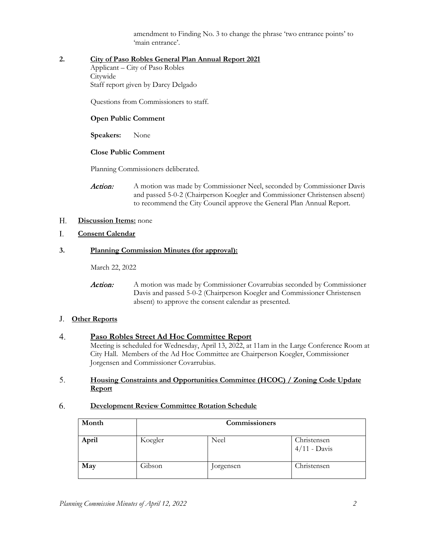amendment to Finding No. 3 to change the phrase 'two entrance points' to 'main entrance'.

## **2. City of Paso Robles General Plan Annual Report 2021**

Applicant – City of Paso Robles **Citywide** Staff report given by Darcy Delgado

Questions from Commissioners to staff.

## **Open Public Comment**

**Speakers:** None

## **Close Public Comment**

Planning Commissioners deliberated.

Action: A motion was made by Commissioner Neel, seconded by Commissioner Davis and passed 5-0-2 (Chairperson Koegler and Commissioner Christensen absent) to recommend the City Council approve the General Plan Annual Report.

#### **Discussion Items:** none H.

#### **Consent Calendar**  I.

#### **3. Planning Commission Minutes (for approval):**

March 22, 2022

Action: A motion was made by Commissioner Covarrubias seconded by Commissioner Davis and passed 5-0-2 (Chairperson Koegler and Commissioner Christensen absent) to approve the consent calendar as presented.

## **Other Reports** J.

#### **Paso Robles Street Ad Hoc Committee Report** 4.

Meeting is scheduled for Wednesday, April 13, 2022, at 11am in the Large Conference Room at City Hall. Members of the Ad Hoc Committee are Chairperson Koegler, Commissioner Jorgensen and Commissioner Covarrubias.

#### **Housing Constraints and Opportunities Committee (HCOC) / Zoning Code Update Report**  5.

#### **Development Review Committee Rotation Schedule**  6.

| Month | <b>Commissioners</b> |           |                               |
|-------|----------------------|-----------|-------------------------------|
| April | Koegler              | Neel      | Christensen<br>$4/11$ - Davis |
| May   | Gibson               | Jorgensen | Christensen                   |